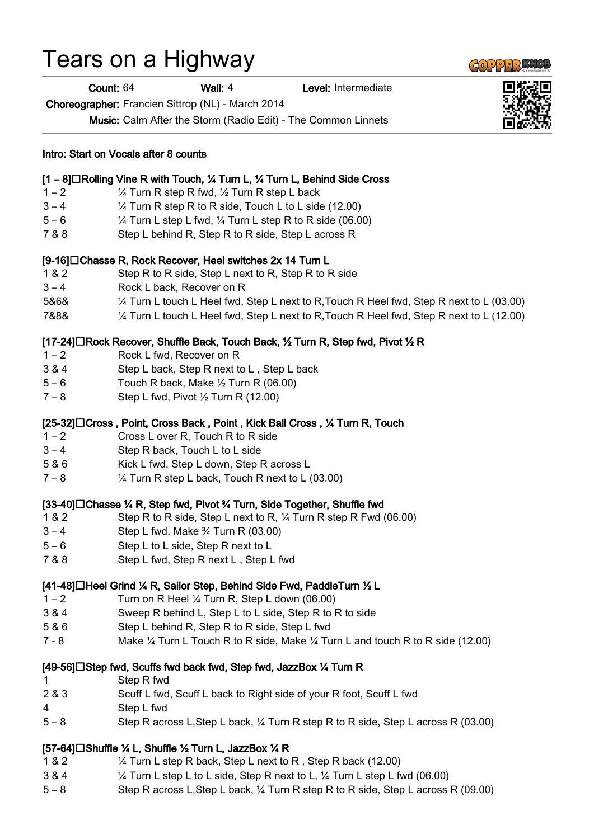## Tears on a Highway

Intro: Start on Vocals after 8 counts

Count: 64 Wall: 4 Level: Intermediate

Choreographer: Francien Sittrop (NL) - March 2014

Music: Calm After the Storm (Radio Edit) - The Common Linnets

|         | [1 - 8]□Rolling Vine R with Touch, ¼ Turn L, ¼ Turn L, Behind Side Cross                  |
|---------|-------------------------------------------------------------------------------------------|
| $1 - 2$ | 1/4 Turn R step R fwd, 1/2 Turn R step L back                                             |
| $3 - 4$ | 1/4 Turn R step R to R side, Touch L to L side (12.00)                                    |
| $5 - 6$ | 1/4 Turn L step L fwd, 1/4 Turn L step R to R side (06.00)                                |
| 7 & 8   | Step L behind R, Step R to R side, Step L across R                                        |
|         | [9-16]□Chasse R, Rock Recover, Heel switches 2x 14 Turn L                                 |
| 1 & 2   | Step R to R side, Step L next to R, Step R to R side                                      |
| $3 - 4$ | Rock L back, Recover on R                                                                 |
| 5&6&    | 1⁄4 Turn L touch L Heel fwd, Step L next to R, Touch R Heel fwd, Step R next to L (03.00) |
| 7&8&    | 1⁄4 Turn L touch L Heel fwd, Step L next to R, Touch R Heel fwd, Step R next to L (12.00) |
|         | [17-24]□Rock Recover, Shuffle Back, Touch Back, ½ Turn R, Step fwd, Pivot ½ R             |
| $1 - 2$ | Rock L fwd, Recover on R                                                                  |
| 3 & 4   | Step L back, Step R next to L, Step L back                                                |
| $5 - 6$ | Touch R back, Make 1/2 Turn R (06.00)                                                     |
| $7 - 8$ | Step L fwd, Pivot 1/2 Turn R (12.00)                                                      |
|         | [25-32]□ Cross, Point, Cross Back, Point, Kick Ball Cross, ¼ Turn R, Touch                |
| $1 - 2$ | Cross L over R, Touch R to R side                                                         |
| $3 - 4$ | Step R back, Touch L to L side                                                            |
| 5 & 6   | Kick L fwd, Step L down, Step R across L                                                  |
| $7 - 8$ | 1/4 Turn R step L back, Touch R next to L (03.00)                                         |
|         | [33-40]□ Chasse ¼ R, Step fwd, Pivot ¾ Turn, Side Together, Shuffle fwd                   |
| 1 & 2   | Step R to R side, Step L next to R, 1/4 Turn R step R Fwd (06.00)                         |
| $3 - 4$ | Step L fwd, Make 3/4 Turn R (03.00)                                                       |
| $5 - 6$ | Step L to L side, Step R next to L                                                        |
| 7 & 8   | Step L fwd, Step R next L, Step L fwd                                                     |
|         | [41-48]□Heel Grind ¼ R, Sailor Step, Behind Side Fwd, PaddleTurn ½ L                      |
| $1 - 2$ | Turn on R Heel 1/4 Turn R, Step L down (06.00)                                            |
| 3 & 4   | Sweep R behind L, Step L to L side, Step R to R to side                                   |
| 5 & 6   | Step L behind R, Step R to R side, Step L fwd                                             |
| $7 - 8$ | Make 1/4 Turn L Touch R to R side, Make 1/4 Turn L and touch R to R side (12.00)          |
|         | [49-56]□Step fwd, Scuffs fwd back fwd, Step fwd, JazzBox ¼ Turn R                         |
| 1       | Step R fwd                                                                                |
| 2 & 3   | Scuff L fwd, Scuff L back to Right side of your R foot, Scuff L fwd                       |
| 4       | Step L fwd                                                                                |
| $5 - 8$ | Step R across L, Step L back, 1/4 Turn R step R to R side, Step L across R (03.00)        |

## [57-64] $\Box$ Shuffle ¼ L, Shuffle ½ Turn L, JazzBox ¼ R

- 1 & 2 ¼ Turn L step R back, Step L next to R , Step R back (12.00)
- 3 & 4 ¼ Turn L step L to L side, Step R next to L, ¼ Turn L step L fwd (06.00)
- 5 8 Step R across L,Step L back, ¼ Turn R step R to R side, Step L across R (09.00)





**GOPPERKIC**